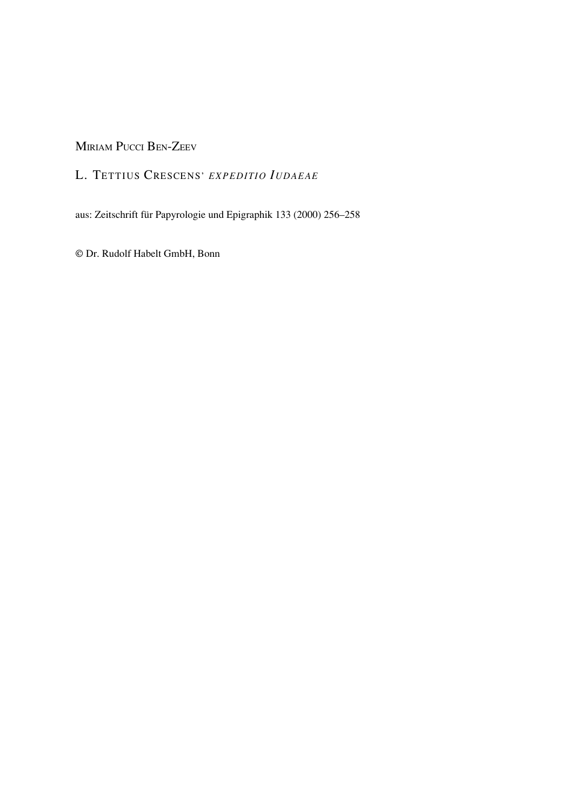MIRIAM PUCCI BEN-ZEEV

## L. TETTIUS CRESCENS' *EXPEDITIO IUDAEAE*

aus: Zeitschrift für Papyrologie und Epigraphik 133 (2000) 256–258

© Dr. Rudolf Habelt GmbH, Bonn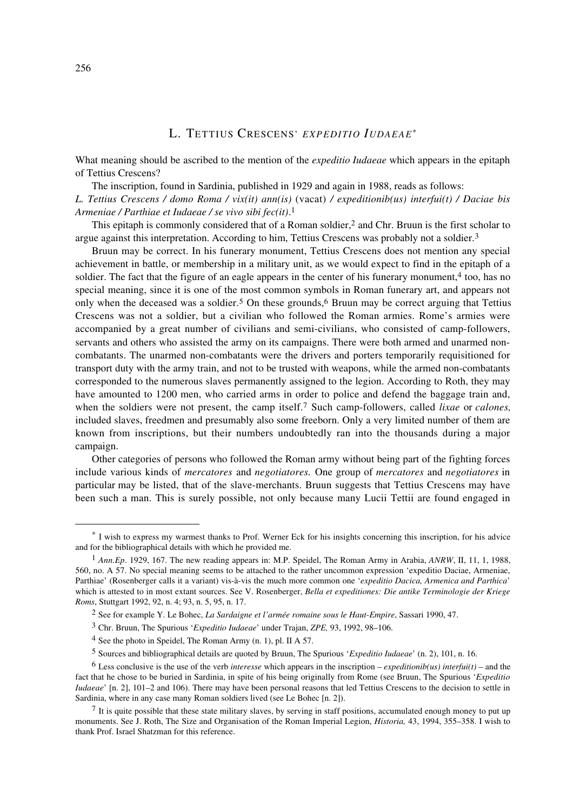## L. TETTIUS CRESCENS' *EXPEDITIO IUDAEAE*\*

What meaning should be ascribed to the mention of the *expeditio Iudaeae* which appears in the epitaph of Tettius Crescens?

The inscription, found in Sardinia, published in 1929 and again in 1988, reads as follows: *L. Tettius Crescens / domo Roma / vix(it) ann(is)* (vacat) */ expeditionib(us) interfui(t) / Daciae bis Armeniae / Parthiae et Iudaeae / se vivo sibi fec(it)*. 1

This epitaph is commonly considered that of a Roman soldier,<sup>2</sup> and Chr. Bruun is the first scholar to argue against this interpretation. According to him, Tettius Crescens was probably not a soldier.<sup>3</sup>

Bruun may be correct. In his funerary monument, Tettius Crescens does not mention any special achievement in battle, or membership in a military unit, as we would expect to find in the epitaph of a soldier. The fact that the figure of an eagle appears in the center of his funerary monument,<sup>4</sup> too, has no special meaning, since it is one of the most common symbols in Roman funerary art, and appears not only when the deceased was a soldier.5 On these grounds,6 Bruun may be correct arguing that Tettius Crescens was not a soldier, but a civilian who followed the Roman armies. Rome's armies were accompanied by a great number of civilians and semi-civilians, who consisted of camp-followers, servants and others who assisted the army on its campaigns. There were both armed and unarmed noncombatants. The unarmed non-combatants were the drivers and porters temporarily requisitioned for transport duty with the army train, and not to be trusted with weapons, while the armed non-combatants corresponded to the numerous slaves permanently assigned to the legion. According to Roth, they may have amounted to 1200 men, who carried arms in order to police and defend the baggage train and, when the soldiers were not present, the camp itself.7 Such camp-followers, called *lixae* or *calones,* included slaves, freedmen and presumably also some freeborn. Only a very limited number of them are known from inscriptions, but their numbers undoubtedly ran into the thousands during a major campaign.

Other categories of persons who followed the Roman army without being part of the fighting forces include various kinds of *mercatores* and *negotiatores.* One group of *mercatores* and *negotiatores* in particular may be listed, that of the slave-merchants. Bruun suggests that Tettius Crescens may have been such a man. This is surely possible, not only because many Lucii Tettii are found engaged in

<sup>\*</sup> I wish to express my warmest thanks to Prof. Werner Eck for his insights concerning this inscription, for his advice and for the bibliographical details with which he provided me.

<sup>1</sup> *Ann.Ep*. 1929, 167. The new reading appears in: M.P. Speidel, The Roman Army in Arabia, *ANRW*, II, 11, 1, 1988, 560, no. A 57. No special meaning seems to be attached to the rather uncommon expression 'expeditio Daciae, Armeniae, Parthiae' (Rosenberger calls it a variant) vis-à-vis the much more common one '*expeditio Dacica, Armenica and Parthica*' which is attested to in most extant sources. See V. Rosenberger, *Bella et expeditiones: Die antike Terminologie der Kriege Roms*, Stuttgart 1992, 92, n. 4; 93, n. 5, 95, n. 17.

<sup>2</sup> See for example Y. Le Bohec, *La Sardaigne et l'armée romaine sous le Haut-Empire*, Sassari 1990, 47.

<sup>3</sup> Chr. Bruun, The Spurious '*Expeditio Iudaeae*' under Trajan, *ZPE,* 93, 1992, 98–106.

 $4$  See the photo in Speidel. The Roman Army (n. 1), pl. II A 57.

<sup>5</sup> Sources and bibliographical details are quoted by Bruun, The Spurious '*Expeditio Iudaeae*' (n. 2), 101, n. 16.

<sup>&</sup>lt;sup>6</sup> Less conclusive is the use of the verb *interesse* which appears in the inscription – *expeditionib(us) interfui(t)* – and the fact that he chose to be buried in Sardinia, in spite of his being originally from Rome (see Bruun, The Spurious '*Expeditio Iudaeae'* [n. 2], 101–2 and 106). There may have been personal reasons that led Tettius Crescens to the decision to settle in Sardinia, where in any case many Roman soldiers lived (see Le Bohec [n. 2]).

 $7$  It is quite possible that these state military slaves, by serving in staff positions, accumulated enough money to put up monuments. See J. Roth, The Size and Organisation of the Roman Imperial Legion, *Historia,* 43, 1994, 355–358. I wish to thank Prof. Israel Shatzman for this reference.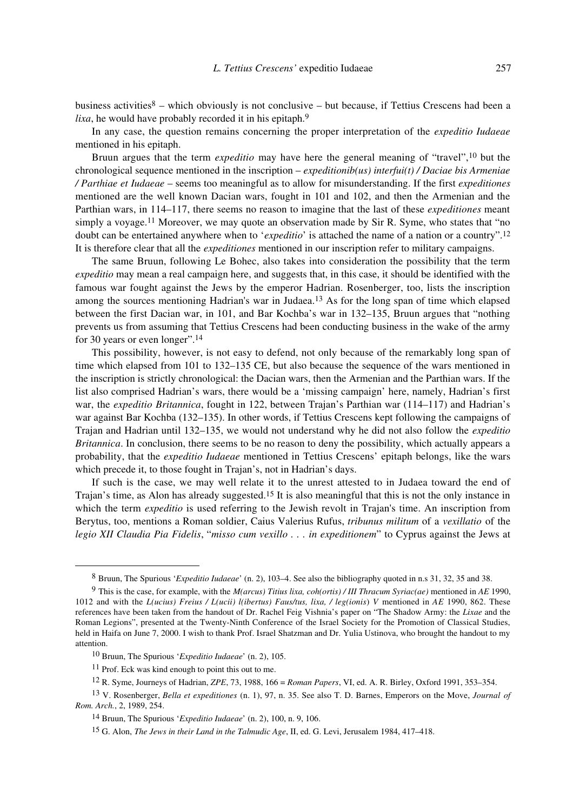business activities<sup>8</sup> – which obviously is not conclusive – but because, if Tettius Crescens had been a *lixa*, he would have probably recorded it in his epitaph.<sup>9</sup>

In any case, the question remains concerning the proper interpretation of the *expeditio Iudaeae* mentioned in his epitaph.

Bruun argues that the term *expeditio* may have here the general meaning of "travel",10 but the chronological sequence mentioned in the inscription – *expeditionib(us) interfui(t) / Daciae bis Armeniae / Parthiae et Iudaeae* – seems too meaningful as to allow for misunderstanding. If the first *expeditiones* mentioned are the well known Dacian wars, fought in 101 and 102, and then the Armenian and the Parthian wars, in 114–117, there seems no reason to imagine that the last of these *expeditiones* meant simply a voyage.<sup>11</sup> Moreover, we may quote an observation made by Sir R. Syme, who states that "no doubt can be entertained anywhere when to '*expeditio*' is attached the name of a nation or a country".12 It is therefore clear that all the *expeditiones* mentioned in our inscription refer to military campaigns.

The same Bruun, following Le Bohec, also takes into consideration the possibility that the term *expeditio* may mean a real campaign here, and suggests that, in this case, it should be identified with the famous war fought against the Jews by the emperor Hadrian. Rosenberger, too, lists the inscription among the sources mentioning Hadrian's war in Judaea.13 As for the long span of time which elapsed between the first Dacian war, in 101, and Bar Kochba's war in 132–135, Bruun argues that "nothing prevents us from assuming that Tettius Crescens had been conducting business in the wake of the army for 30 years or even longer".14

This possibility, however, is not easy to defend, not only because of the remarkably long span of time which elapsed from 101 to 132–135 CE, but also because the sequence of the wars mentioned in the inscription is strictly chronological: the Dacian wars, then the Armenian and the Parthian wars. If the list also comprised Hadrian's wars, there would be a 'missing campaign' here, namely, Hadrian's first war, the *expeditio Britannica*, fought in 122, between Trajan's Parthian war (114–117) and Hadrian's war against Bar Kochba (132–135). In other words, if Tettius Crescens kept following the campaigns of Trajan and Hadrian until 132–135, we would not understand why he did not also follow the *expeditio Britannica*. In conclusion, there seems to be no reason to deny the possibility, which actually appears a probability, that the *expeditio Iudaeae* mentioned in Tettius Crescens' epitaph belongs, like the wars which precede it, to those fought in Trajan's, not in Hadrian's days.

If such is the case, we may well relate it to the unrest attested to in Judaea toward the end of Trajan's time, as Alon has already suggested.15 It is also meaningful that this is not the only instance in which the term *expeditio* is used referring to the Jewish revolt in Trajan's time. An inscription from Berytus, too, mentions a Roman soldier, Caius Valerius Rufus, *tribunus militum* of a *vexillatio* of the *legio XII Claudia Pia Fidelis*, "*misso cum vexillo . . . in expeditionem*" to Cyprus against the Jews at

<sup>8</sup> Bruun, The Spurious '*Expeditio Iudaeae*' (n. 2), 103–4. See also the bibliography quoted in n.s 31, 32, 35 and 38.

<sup>9</sup> This is the case, for example, with the *M(arcus) Titius lixa, coh(ortis) / III Thracum Syriac(ae)* mentioned in *AE* 1990, 1012 and with the *L(ucius) Freius / L(ucii) l(ibertus) Faus/tus, lixa, / leg(ionis*) *V* mentioned in *AE* 1990, 862. These references have been taken from the handout of Dr. Rachel Feig Vishnia's paper on "The Shadow Army: the *Lixae* and the Roman Legions", presented at the Twenty-Ninth Conference of the Israel Society for the Promotion of Classical Studies, held in Haifa on June 7, 2000. I wish to thank Prof. Israel Shatzman and Dr. Yulia Ustinova, who brought the handout to my attention.

<sup>10</sup> Bruun, The Spurious '*Expeditio Iudaeae*' (n. 2), 105.

<sup>11</sup> Prof. Eck was kind enough to point this out to me.

<sup>12</sup> R. Syme, Journeys of Hadrian, *ZPE*, 73, 1988, 166 = *Roman Papers*, VI, ed. A. R. Birley, Oxford 1991, 353–354.

<sup>13</sup> V. Rosenberger, *Bella et expeditiones* (n. 1), 97, n. 35. See also T. D. Barnes, Emperors on the Move, *Journal of Rom. Arch.*, 2, 1989, 254.

<sup>14</sup> Bruun, The Spurious '*Expeditio Iudaeae*' (n. 2), 100, n. 9, 106.

<sup>15</sup> G. Alon, *The Jews in their Land in the Talmudic Age*, II, ed. G. Levi, Jerusalem 1984, 417–418.